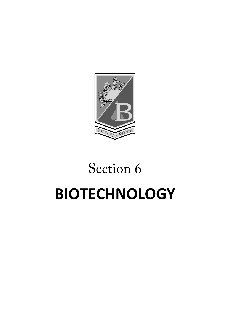

# Section 6 **BIOTECHNOLOGY**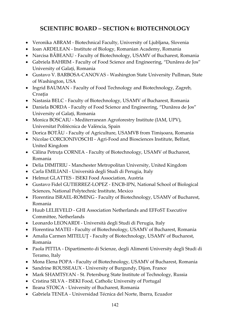# **SCIENTIFIC BOARD – SECTION 6: BIOTECHNOLOGY**

- Veronika ABRAM Biotechnical Faculty, University of Ljubljana, Slovenia
- Ioan ARDELEAN Institute of Biology, Romanian Academy, Romania
- Narcisa BÅBEANU Faculty of Biotechnology, USAMV of Bucharest, Romania
- Gabriela BAHRIM Faculty of Food Science and Engineering, "Dunărea de Jos" University of Galați, Romania
- Gustavo V. BARBOSA-CANOVAS Washington State University Pullman, State of Washington, USA
- Ingrid BAUMAN Faculty of Food Technology and Biotechnology, Zagreb, Croația
- Nastasia BELC Faculty of Biotechnology, USAMV of Bucharest, Romania
- Daniela BORDA Faculty of Food Science and Engineering, "Dunărea de Jos" University of Galați, Romania
- Monica BOSCAIU Mediterranean Agroforestry Institute (IAM, UPV), Universitat Politècnica de València, Spain
- Dorica BOTĂU Faculty of Agriculture, USAMVB from Timișoara, Romania
- Nicolae CORCIONIVOSCHI Agri-Food and Biosciences Institute, Belfast, United Kingdom
- Călina Petruța CORNEA Faculty of Biotechnology, USAMV of Bucharest, Romania
- Delia DIMITRIU Manchester Metropolitan University, United Kingdom
- Carla EMILIANI Università degli Studi di Perugia, Italy
- Helmut GLATTES ISEKI Food Association, Austria
- Gustavo Fidel GUTIERREZ-LOPEZ ENCB-IPN, National School of Biological Sciences, National Polytechnic Institute, Mexico
- Florentina ISRAEL-ROMING Faculty of Biotechnology, USAMV of Bucharest, Romania
- Huub LELIEVELD GHI Association Netherlands and EFFoST Executive Committee, Netherlands
- Leonardo LEONARDI Università degli Studi di Perugia, Italy
- Florentina MATEI Faculty of Biotechnology, USAMV of Bucharest, Romania
- Amalia Carmen MITELUT Faculty of Biotechnology, USAMV of Bucharest, Romania
- Paola PITTIA Dipartimento di Scienze, degli Alimenti University degli Studi di Teramo, Italy
- Mona Elena POPA Faculty of Biotechnology, USAMV of Bucharest, Romania
- Sandrine ROUSSEAUX University of Burgundy, Dijon, France
- Mark SHAMTSYAN St. Petersburg State Institute of Technology, Russia
- Cristina SILVA ISEKI Food, Catholic University of Portugal
- Ileana STOICA University of Bucharest, Romania
- Gabriela TENEA Universidad Técnica del Norte, Ibarra, Ecuador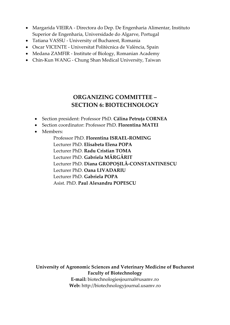- Margarida VIEIRA Directora do Dep. De Engenharia Alimentar, Instituto Superior de Engenharia, Universidade do Algarve, Portugal
- Tatiana VASSU University of Bucharest, Romania
- Oscar VICENTE Universitat Politècnica de València, Spain
- Medana ZAMFIR Institute of Biology, Romanian Academy
- Chin-Kun WANG Chung Shan Medical University, Taiwan

# **ORGANIZING COMMITTEE – SECTION 6: BIOTECHNOLOGY**

- Section president: Professor PhD. **Călina Petruța CORNEA**
- Section coordinator: Professor PhD. **Florentina MATEI**
- Members:

Professor PhD. **Florentina ISRAEL-ROMING** Lecturer PhD. **Elisabeta Elena POPA** Lecturer PhD. **Radu Cristian TOMA** Lecturer PhD. **Gabriela MĂRGĂRIT** Lecturer PhD. **Diana GROPOȘILĂ-CONSTANTINESCU** Lecturer PhD. **Oana LIVADARIU** Lecturer PhD. **Gabriela POPA** Asist. PhD. **Paul Alexandru POPESCU**

**University of Agronomic Sciences and Veterinary Medicine of Bucharest Faculty of Biotechnology**

> **E-mail:** biotechnologiesjournal@usamv.ro **Web:** http://biotechnologyjournal.usamv.ro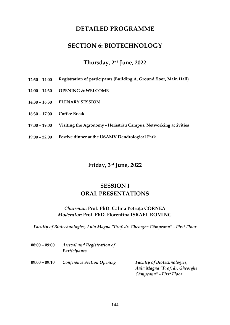# **DETAILED PROGRAMME**

# **SECTION 6: BIOTECHNOLOGY**

## **Thursday, 2nd June, 2022**

- **12:30 – 14:00 Registration of participants (Building A, Ground floor, Main Hall)**
- **14:00 – 14:30 OPENING & WELCOME**
- **14:30 – 16:30 PLENARY SESSION**
- **16:30 – 17:00 Coffee Break**
- **17:00 – 19:00 Visiting the Agronomy - Herăstrău Campus, Networking activities**
- **19:00 – 22:00 Festive dinner at the USAMV Dendrological Park**

## **Friday, 3rd June, 2022**

## **SESSION I ORAL PRESENTATIONS**

#### *Chairman***: Prof. PhD. Călina Petruța CORNEA** *Moderator***: Prof. PhD. Florentina ISRAEL-ROMING**

*Faculty of Biotechnologies, Aula Magna "Prof. dr. Gheorghe Câmpeanu" - First Floor*

| $08:00 - 09:00$ | Arrival and Registration of<br>Participants |                                                                      |
|-----------------|---------------------------------------------|----------------------------------------------------------------------|
| $09:00 - 09:10$ | <b>Conference Section Opening</b>           | <b>Faculty of Biotechnologies,</b><br>Aula Magna "Prof. dr. Gheorghe |
|                 |                                             | Câmpeanu" - First Floor                                              |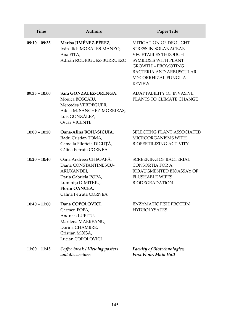| Time            | <b>Authors</b>                                                                                                                                        | <b>Paper Title</b>                                                                                                                                                                                                |
|-----------------|-------------------------------------------------------------------------------------------------------------------------------------------------------|-------------------------------------------------------------------------------------------------------------------------------------------------------------------------------------------------------------------|
| $09:10 - 09:35$ | Marisa JIMÉNEZ-PÉREZ,<br>Iván-Ilich MORALES-MANZO,<br>Ana FITA,<br>Adrián RODRÍGUEZ-BURRUEZO                                                          | MITIGATION OF DROUGHT<br><b>STRESS IN SOLANACEAE</b><br><b>VEGETABLES THROUGH</b><br>SYMBIOSIS WITH PLANT<br><b>GROWTH – PROMOTING</b><br><b>BACTERIA AND ARBUSCULAR</b><br>MYCORRHIZAL FUNGI. A<br><b>REVIEW</b> |
| $09:35 - 10:00$ | Sara GONZÁLEZ-ORENGA,<br>Monica BOSCAIU,<br>Mercedes VERDEGUER,<br>Adela M. SÁNCHEZ-MOREIRAS,<br>Luís GONZÁLEZ,<br>Oscar VICENTE                      | <b>ADAPTABILITY OF INVASIVE</b><br>PLANTS TO CLIMATE CHANGE                                                                                                                                                       |
| $10:00 - 10:20$ | Oana-Alina BOIU-SICUIA,<br>Radu Cristian TOMA,<br>Camelia Filofteia DIGUȚĂ,<br>Călina Petruța CORNEA                                                  | SELECTING PLANT ASSOCIATED<br>MICROORGANISMS WITH<br><b>BIOFERTILIZING ACTIVITY</b>                                                                                                                               |
| $10:20 - 10:40$ | Oana Andreea CHEOAFĂ,<br>Diana CONSTANTINESCU-<br>ARUXANDEI,<br>Daria Gabriela POPA,<br>Luminița DIMITRIU,<br>Florin OANCEA,<br>Călina Petruța CORNEA | <b>SCREENING OF BACTERIAL</b><br>CONSORTIA FOR A<br>BIOAUGMENTED BIOASSAY OF<br><b>FLUSHABLE WIPES</b><br><b>BIODEGRADATION</b>                                                                                   |
| $10:40 - 11:00$ | Dana COPOLOVICI,<br>Carmen POPA,<br>Andreea LUPITU,<br>Marilena MAEREANU,<br>Dorina CHAMBRE,<br>Cristian MOISA,<br>Lucian COPOLOVICI                  | <b>ENZYMATIC FISH PROTEIN</b><br><b>HYDROLYSATES</b>                                                                                                                                                              |
| $11:00 - 11:45$ | Coffee break / Viewing posters<br>and discussions                                                                                                     | Faculty of Biotechnologies,<br>First Floor, Main Hall                                                                                                                                                             |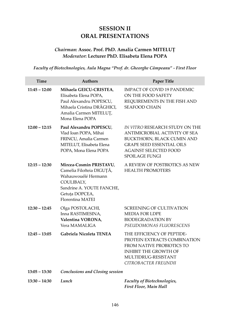# **SESSION II ORAL PRESENTATIONS**

## *Chairman***: Assoc. Prof. PhD. Amalia Carmen MITELUȚ** *Moderator***: Lecturer PhD. Elisabeta Elena POPA**

*Faculty of Biotechnologies, Aula Magna "Prof. dr. Gheorghe Câmpeanu" - First Floor*

| <b>Time</b>     | <b>Authors</b>                                                                                                                                               | <b>Paper Title</b>                                                                                                                                                                         |
|-----------------|--------------------------------------------------------------------------------------------------------------------------------------------------------------|--------------------------------------------------------------------------------------------------------------------------------------------------------------------------------------------|
| $11:45 - 12:00$ | Mihaela GEICU-CRISTEA,<br>Elisabeta Elena POPA,<br>Paul Alexandru POPESCU,<br>Mihaela Cristina DRĂGHICI,<br>Amalia Carmen MITELUT,<br>Mona Elena POPA        | <b>IMPACT OF COVID 19 PANDEMIC</b><br>ON THE FOOD SAFETY<br>REQUIREMENTS IN THE FISH AND<br><b>SEAFOOD CHAIN</b>                                                                           |
| $12:00 - 12:15$ | Paul Alexandru POPESCU,<br>Vlad Ioan POPA, Mihai<br>FRINCU, Amalia Carmen<br>MITELUT, Elisabeta Elena<br>POPA, Mona Elena POPA                               | IN VITRO RESEARCH STUDY ON THE<br>ANTIMICROBIAL ACTIVITY OF SEA<br>BUCKTHORN, BLACK CUMIN AND<br><b>GRAPE SEED ESSENTIAL OILS</b><br><b>AGAINST SELECTED FOOD</b><br><b>SPOILAGE FUNGI</b> |
| $12:15 - 12:30$ | Mircea-Cosmin PRISTAVU,<br>Camelia Filofteia DIGUȚĂ,<br>Wahauwouélé Hermann<br>COULIBALY,<br>Sandrine A. YOUTE FANCHE,<br>Getuța DOPCEA,<br>Florentina MATEI | A REVIEW OF POSTBIOTICS AS NEW<br><b>HEALTH PROMOTERS</b>                                                                                                                                  |
| $12:30 - 12:45$ | Olga POSTOLACHI,<br>Inna RASTIMESINA,<br>Valentina VORONA,<br>Vera MAMALIGA                                                                                  | <b>SCREENING OF CULTIVATION</b><br><b>MEDIA FOR LDPE</b><br><b>BIODEGRADATION BY</b><br>PSEUDOMONAS FLUORESCENS                                                                            |
| $12:45 - 13:05$ | Gabriela Nicoleta TENEA                                                                                                                                      | THE EFFICIENCY OF PEPTIDE-<br>PROTEIN EXTRACTS COMBINATION<br>FROM NATIVE PROBIOTICS TO<br><b>INHIBIT THE GROWTH OF</b><br>MULTIDRUG-RESISTANT<br>CITROBACTER FREUNDII                     |
| $13:05 - 13:30$ | <b>Conclusions and Closing session</b>                                                                                                                       |                                                                                                                                                                                            |
| $13:30 - 14:30$ | Lunch                                                                                                                                                        | Faculty of Biotechnologies,<br>First Floor, Main Hall                                                                                                                                      |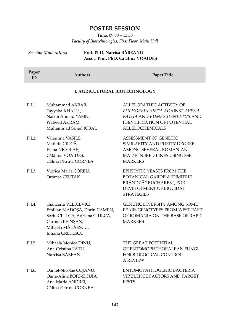## **POSTER SESSION**

Time: 09:00 – 13:30 *Faculty of Biotechnologies, First Floor, Main Hall*

#### *Session Moderators:* **Prof. PhD. Narcisa BĂBEANU Assoc. Prof. PhD. Cătălina VOAIDEȘ**

| Paper<br>ID | <b>Authors</b>                                                                                                                                     | <b>Paper Title</b>                                                                                                                                        |
|-------------|----------------------------------------------------------------------------------------------------------------------------------------------------|-----------------------------------------------------------------------------------------------------------------------------------------------------------|
|             | I. AGRICULTURAL BIOTECHNOLOGY                                                                                                                      |                                                                                                                                                           |
| P.I.1.      | Muhammad AKBAR,<br>Tayyaba KHALIL,<br>Nasim Ahmad YASIN,<br>Waheed AKRAM,<br>Muhammad Sajjad IQBAL                                                 | ALLELOPATHIC ACTIVITY OF<br>EUPHORBIA HIRTA AGAINST AVENA<br>FATUA AND RUMEX DENTATUS AND<br><b>IDENTIFICATION OF POTENTIAL</b><br><b>ALLELOCHEMICALS</b> |
| P.I.2.      | Valentina VASILE,<br>Matilda CIUCĂ,<br>Elena NICOLAE,<br>Cătălina VOAIDEȘ,<br>Călina Petruța CORNEA                                                | ASSESSMENT OF GENETIC<br>SIMILARITY AND PURITY DEGREE<br>AMONG SEVERAL ROMANIAN<br>MAIZE INBRED LINES USING SSR<br><b>MARKERS</b>                         |
| P.I.3.      | Viorica Maria CORBU,<br>Ortansa CSUTAK                                                                                                             | EPIPHYTIC YEASTS FROM THE<br><b>BOTANICAL GARDEN "DIMITRIE</b><br>BRÂNDZĂ" BUCHAREST, FOR<br>DEVELOPMENT OF BIOCIDAL<br><b>STRATEGIES</b>                 |
| P.I.4.      | Giancarla VELICEVICI,<br>Emilian MADOŞĂ, Dorin CAMEN,<br>Sorin CIULCA, Adriana CIULCA,<br>Carmen BEINȘAN,<br>Mihaela MĂLĂESCU,<br>Iuliana CREȚESCU | <b>GENETIC DIVERSITY AMONG SOME</b><br>PEARS GENOTYPES FROM WEST PART<br>OF ROMANIA ON THE BASE OF RAPD<br><b>MARKERS</b>                                 |
| P.I.5.      | Mihaela Monica DINU,<br>Ana-Cristina FĂTU,<br>Narcisa BĂBEANU                                                                                      | THE GREAT POTENTIAL<br>OF ENTOMOPHTHORALEAN FUNGI<br>FOR BIOLOGICAL CONTROL:<br><b>A REVIEW</b>                                                           |
| P.I.6.      | Daniel-Nicolae COJANU,<br>Oana-Alina BOIU-SICUIA.<br>Ana-Maria ANDREI,<br>Călina Petruța CORNEA                                                    | ENTOMOPATHOGENIC BACTERIA<br><b>VIRULENCE FACTORS AND TARGET</b><br><b>PESTS</b>                                                                          |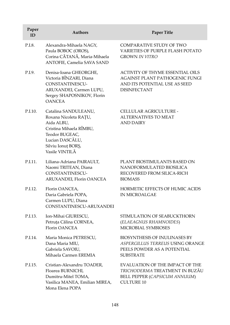| Paper<br>ID | <b>Authors</b>                                                                                                                                                      | <b>Paper Title</b>                                                                                                                |
|-------------|---------------------------------------------------------------------------------------------------------------------------------------------------------------------|-----------------------------------------------------------------------------------------------------------------------------------|
| P.I.8.      | Alexandra-Mihaela NAGY,<br>Paula BOBOC (OROS),<br>Corina CĂTANĂ, Maria-Mihaela<br>ANTOFIE, Camelia SAVA SAND                                                        | COMPARATIVE STUDY OF TWO<br>VARIETIES OF PURPLE FLASH POTATO<br><b>GROWN IN VITRO</b>                                             |
| P.I.9.      | Denisa-Ioana GHEORGHE,<br>Victoria BÎNZARI, Diana<br>CONSTANTINESCU-<br>ARUXANDEI, Carmen LUPU,<br>Sergey SHAPOSNIKOV, Florin<br><b>OANCEA</b>                      | <b>ACTIVITY OF THYME ESSENTIAL OILS</b><br>AGAINST PLANT PATHOGENIC FUNGI<br>AND ITS POTENTIAL USE AS SEED<br><b>DISINFECTANT</b> |
| P.I.10.     | Catalina SANDULEANU,<br>Roxana Nicoleta RAȚU,<br>Aida ALBU,<br>Cristina Mihaela RÎMBU,<br>Teodor BUGEAC,<br>Lucian DASCĂLU,<br>Silviu Ionuț BORȘ,<br>Vasile VINTILĂ | CELLULAR AGRICULTURE -<br><b>ALTERNATIVES TO MEAT</b><br><b>AND DAIRY</b>                                                         |
| P.I.11.     | Liliana-Adriana PAIRAULT,<br>Naomi TRITEAN, Diana<br>CONSTANTINESCU-<br>ARUXANDEI, Florin OANCEA                                                                    | PLANT BIOSTIMULANTS BASED ON<br>NANOFORMULATED BIOSILICA<br>RECOVERED FROM SILICA-RICH<br><b>BIOMASS</b>                          |
| P.I.12.     | Florin OANCEA,<br>Daria Gabriela POPA,<br>Carmen LUPU, Diana<br>CONSTANTINESCU-ARUXANDEI                                                                            | HORMETIC EFFECTS OF HUMIC ACIDS<br><b>IN MICROALGAE</b>                                                                           |
| P.I.13.     | Ion-Mihai GIURESCU,<br>Petruța Călina CORNEA,<br>Florin OANCEA                                                                                                      | STIMULATION OF SEABUCKTHORN<br>(ELAEAGNUS RHAMNOIDES)<br><b>MICROBIAL SYMBIOSES</b>                                               |
| P.I.14.     | Maria Monica PETRESCU,<br>Dana Maria MIU,<br>Gabriela SAVOIU,<br>Mihaela Carmen EREMIA                                                                              | <b>BIOSYNTHESIS OF INULINASES BY</b><br>ASPERGILLUS TERREUS USING ORANGE<br>PEELS POWDER AS A POTENTIAL<br><b>SUBSTRATE</b>       |
| P.I.15.     | Cristian-Alexandru TOADER,<br>Floarea BURNICHI,<br>Dumitru-Mitel TOMA,<br>Vasilica MANEA, Emilian MIREA,<br>Mona Elena POPA                                         | EVALUATION OF THE IMPACT OF THE<br>TRICHODERMA TREATMENT IN BUZĂU<br>BELL PEPPER (CAPSICUM ANNUUM)<br><b>CULTURE 10</b>           |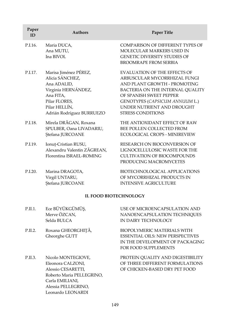| Paper<br>ID | <b>Authors</b>                                                                                                                                             | <b>Paper Title</b>                                                                                                                                                                                                                                             |
|-------------|------------------------------------------------------------------------------------------------------------------------------------------------------------|----------------------------------------------------------------------------------------------------------------------------------------------------------------------------------------------------------------------------------------------------------------|
| P.I.16.     | Maria DUCA,<br>Ana MUTU,<br>Ina BIVOL                                                                                                                      | COMPARISON OF DIFFERENT TYPES OF<br>MOLECULAR MARKERS USED IN<br><b>GENETIC DIVERSITY STUDIES OF</b><br>BROOMRAPE FROM SERBIA                                                                                                                                  |
| P.I.17.     | Marisa Jiménez PÉREZ,<br>Alicia SÁNCHEZ,<br>Ana ADALID,<br>Virginia HERNÁNDEZ,<br>Ana FITA,<br>Pilar FLORES,<br>Pilar HELLÍN,<br>Adrián Rodríguez BURRUEZO | <b>EVALUATION OF THE EFFECTS OF</b><br>ARBUSCULAR MYCORRHIZAL FUNGI<br>AND PLANT GROWTH - PROMOTING<br>BACTERIA ON THE INTERNAL QUALITY<br>OF SPANISH SWEET PEPPER<br>GENOTYPES (CAPSICUM ANNUUM L.)<br>UNDER NUTRIENT AND DROUGHT<br><b>STRESS CONDITIONS</b> |
| P.I.18.     | Mirela DRĂGAN, Roxana<br>SPULBER, Oana LIVADARIU,<br>Ștefana JURCOANE                                                                                      | THE ANTIOXIDANT EFFECT OF RAW<br>BEE POLLEN COLLECTED FROM<br><b>ECOLOGICAL CROPS - MINIREVIEW</b>                                                                                                                                                             |
| P.I.19.     | Ionuț-Cristian RUSU,<br>Alexandru Valentin ZĂGREAN,<br>Florentina ISRAEL-ROMING                                                                            | RESEARCH ON BIOCONVERSION OF<br>LIGNOCELLULOSIC WASTE FOR THE<br><b>CULTIVATION OF BIOCOMPOUNDS</b><br>PRODUCING MACROMYCETES                                                                                                                                  |
| P.I.20.     | Marina DRAGOTA,<br>Virgil UNTARU,<br>Ștefana JURCOANE                                                                                                      | BIOTECHNOLOGICAL APPLICATIONS<br>OF MYCORRHIZAL PRODUCTS IN<br><b>INTENSIVE AGRICULTURE</b>                                                                                                                                                                    |
|             | <b>II. FOOD BIOTECHNOLOGY</b>                                                                                                                              |                                                                                                                                                                                                                                                                |
| P.II.1.     | Ece BÜYÜKGÜMÜŞ,<br>Merve ÖZCAN,<br>Selda BULCA                                                                                                             | USE OF MICROENCAPSULATION AND<br>NANOENCAPSULATION TECHNIQUES<br>IN DAIRY TECHNOLOGY                                                                                                                                                                           |
| P.II.2.     | Roxana GHEORGHIȚĂ,<br>Gheorghe GUTT                                                                                                                        | BIOPOLYMERIC MATERIALS WITH<br><b>ESSENTIAL OILS: NEW PERSPECTIVES</b><br>IN THE DEVELOPMENT OF PACKAGING<br>FOR FOOD SUPPLEMENTS                                                                                                                              |
| P.II.3.     | Nicolo MONTEGIOVE,<br>Eleonora CALZONI,<br>Alessio CESARETTI,<br>Roberto Maria PELLEGRINO,<br>Carla EMILIANI,<br>Alessia PELLEGRINO,<br>Leonardo LEONARDI  | PROTEIN QUALITY AND DIGESTIBILITY<br>OF THREE DIFFERENT FORMULATIONS<br>OF CHICKEN-BASED DRY PET FOOD                                                                                                                                                          |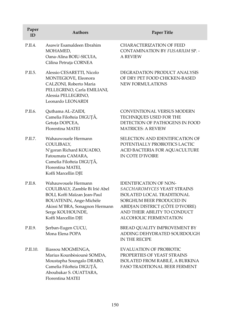| Paper<br>ID | <b>Authors</b>                                                                                                                                                                                | <b>Paper Title</b>                                                                                                                                                                                                   |
|-------------|-----------------------------------------------------------------------------------------------------------------------------------------------------------------------------------------------|----------------------------------------------------------------------------------------------------------------------------------------------------------------------------------------------------------------------|
| P.II.4.     | Asawir Esamaldeen Ebrahim<br>MOHAMED,<br>Oana-Alina BOIU-SICUIA,<br>Călina Petruța CORNEA                                                                                                     | <b>CHARACTERIZATION OF FEED</b><br>CONTAMINATION BY FUSARIUM SP. -<br><b>A REVIEW</b>                                                                                                                                |
| P.II.5.     | Alessio CESARETTI, Nicolo<br>MONTEGIOVE, Eleonora<br>CALZONI, Roberto Maria<br>PELLEGRINO, Carla EMILIANI,<br>Alessia PELLEGRINO,<br>Leonardo LEONARDI                                        | DEGRADATION PRODUCT ANALYSIS<br>OF DRY PET FOOD CHICKEN-BASED<br>NEW FORMULATIONS                                                                                                                                    |
| P.II.6.     | Quthama AL-ZAIDI,<br>Camelia Filofteia DIGUȚĂ,<br>Getuța DOPCEA,<br><b>Florentina MATEI</b>                                                                                                   | <b>CONVENTIONAL VERSUS MODERN</b><br>TECHNIQUES USED FOR THE<br>DETECTION OF PATHOGENS IN FOOD<br><b>MATRICES: A REVIEW</b>                                                                                          |
| P.II.7.     | Wahauwouele Hermann<br>COULIBALY,<br>N'goran Richard KOUADIO,<br>Fatoumata CAMARA,<br>Camelia Filofteia DIGUȚĂ,<br>Florentina MATEI,<br>Koffi Marcellin DJE                                   | SELECTION AND IDENTIFICATION OF<br>POTENTIALLY PROBIOTICS LACTIC<br>ACID BACTERIA FOR AQUACULTURE<br>IN COTE D'IVOIRE                                                                                                |
| P.II.8.     | Wahauwouele Hermann<br>COULIBALY, Zamble Bi Irié Abel<br>BOLI, Koffi Maïzan Jean-Paul<br>BOUATENIN, Ange-Michèle<br>Akissi M'BRA, Sonagnon Hermann<br>Serge KOUHOUNDE,<br>Koffi Marcellin DJE | <b>IDENTIFICATION OF NON-</b><br>SACCHAROMYCES YEAST STRAINS<br>ISOLATED LOCAL TRADITIONAL<br>SORGHUM BEER PRODUCED IN<br>ABIDJAN DISTRICT (CÔTE D'IVOIRE)<br>AND THEIR ABILITY TO CONDUCT<br>ALCOHOLIC FERMENTATION |
| P.II.9.     | Şerban-Eugen CUCU,<br>Mona Elena POPA                                                                                                                                                         | BREAD QUALITY IMPROVEMENT BY<br>ADDING DEHYDRATED SOURDOUGH<br>IN THE RECIPE                                                                                                                                         |
| P.II.10.    | Iliassou MOGMENGA,<br>Marius Kounbèsiounè SOMDA,<br>Moustapha Soungalo DRABO,<br>Camelia Filofteia DIGUȚĂ,<br>Aboubakar S. OUATTARA,<br>Florentina MATEI                                      | <b>EVALUATION OF PROBIOTIC</b><br>PROPERTIES OF YEAST STRAINS<br>ISOLATED FROM RABILÉ, A BURKINA<br><b>FASO TRADITIONAL BEER FERMENT</b>                                                                             |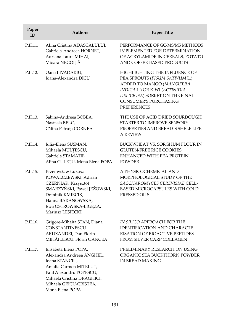| Paper<br>ID | <b>Authors</b>                                                                                                                                                                                       | <b>Paper Title</b>                                                                                                                                                                                                    |
|-------------|------------------------------------------------------------------------------------------------------------------------------------------------------------------------------------------------------|-----------------------------------------------------------------------------------------------------------------------------------------------------------------------------------------------------------------------|
| P.II.11.    | Alina Cristina ADASCĂLULUI,<br>Gabriela-Andreea HORNEȚ,<br>Adriana Laura MIHAI,<br>Mioara NEGOIȚĂ                                                                                                    | PERFORMANCE OF GC-MS/MS METHODS<br><b>IMPLEMENTED FOR DETERMINATION</b><br>OF ACRYLAMIDE IN CEREALS, POTATO<br>AND COFFEE-BASED PRODUCTS                                                                              |
| P.II.12.    | Oana LIVADARIU,<br>Ioana-Alexandra DICU                                                                                                                                                              | HIGHLIGHTING THE INFLUENCE OF<br>PEA SPROUTS (PISUM SATIVUM L.)<br>ADDED TO MANGO (MANGIFERA<br>INDICA L.) OR KIWI (ACTINIDIA<br>DELICIOSA) SORBET ON THE FINAL<br><b>CONSUMER'S PURCHASING</b><br><b>PREFERENCES</b> |
| P.II.13.    | Sabina-Andreea BOBEA,<br>Nastasia BELC,<br>Călina Petruța CORNEA                                                                                                                                     | THE USE OF ACID DRIED SOURDOUGH<br>STARTER TO IMPROVE SENSORY<br>PROPERTIES AND BREAD'S SHELF LIFE -<br><b>A REVIEW</b>                                                                                               |
| P.II.14.    | Iulia-Elena SUSMAN,<br>Mihaela MULȚESCU,<br>Gabriela STAMATIE,<br>Alina CULEȚU, Mona Elena POPA                                                                                                      | BUCKWHEAT VS. SORGHUM FLOUR IN<br><b>GLUTEN-FREE RICE COOKIES</b><br><b>ENHANCED WITH PEA PROTEIN</b><br><b>POWDER</b>                                                                                                |
| P.II.15.    | Przemysław Łukasz<br>KOWALCZEWSKI, Adrian<br>CZERNIAK, Krzysztof<br>SMARZYŃSKI, Pawel JEŻOWSKI,<br>Dominik KMIECIK,<br>Hanna BARANOWSKA,<br>Ewa OSTROWSKA-LIGĘZA,<br>Mariusz LESIECKI                | A PHYSICOCHEMICAL AND<br>MORPHOLOGICAL STUDY OF THE<br>SACCHAROMYCES CEREVISIAE CELL-<br>BASED MICROCAPSULES WITH COLD-<br>PRESSED OILS                                                                               |
| P.II.16.    | Grigore-Mihăiță STAN, Diana<br>CONSTANTINESCU-<br>ARUXANDEI, Dan Florin<br>MIHĂILESCU, Florin OANCEA                                                                                                 | IN SILICO APPROACH FOR THE<br>IDENTIFICATION AND CHARACTE-<br><b>RISATION OF BIOACTIVE PEPTIDES</b><br>FROM SILVER CARP COLLAGEN                                                                                      |
| P.II.17.    | Elisabeta Elena POPA,<br>Alexandra Andreea ANGHEL,<br>Ioana STANCIU,<br>Amalia Carmen MITELUT,<br>Paul Alexandru POPESCU,<br>Mihaela Cristina DRAGHICI,<br>Mihaela GEICU-CRISTEA,<br>Mona Elena POPA | PRELIMINARY RESEARCH ON USING<br>ORGANIC SEA BUCKTHORN POWDER<br>IN BREAD MAKING                                                                                                                                      |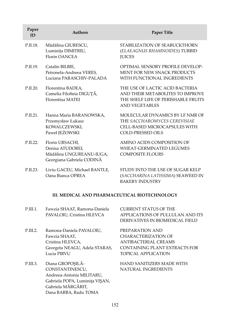| Paper<br>ID | <b>Authors</b>                                                                                 | Paper Title                                                                                                                         |
|-------------|------------------------------------------------------------------------------------------------|-------------------------------------------------------------------------------------------------------------------------------------|
| P.II.18.    | Mădălina GIURESCU,<br>Luminița DIMITRIU,<br><b>Florin OANCEA</b>                               | STABILIZATION OF SEABUCKTHORN<br>(ELAEAGNUS RHAMNOIDES) TURBID<br><b>JUICES</b>                                                     |
| P.II.19.    | Catalin BILBIE,<br>Petronela-Andreea VERES,<br>Luciana PARASCHIV-PALADA                        | OPTIMAL SENSORY PROFILE DEVELOP-<br>MENT FOR NEW SNACK PRODUCTS<br>WITH FUNCTIONAL INGREDIENTS                                      |
| P.II.20.    | Florentina BADEA,<br>Camelia Filofteia DIGUȚĂ,<br>Florentina MATEI                             | THE USE OF LACTIC ACID BACTERIA<br>AND THEIR METABOLITES TO IMPROVE<br>THE SHELF LIFE OF PERISHABLE FRUITS<br><b>AND VEGETABLES</b> |
| P.II.21.    | Hanna Maria BARANOWSKA,<br>Przemysław Łukasz<br>KOWALCZEWSKI,<br>Paweł JEŻOWSKI                | MOLECULAR DYNAMICS BY LF NMR OF<br>THE SACCHAROMYCES CEREVISIAE<br>CELL-BASED MICROCAPSULES WITH<br>COLD-PRESSED OILS               |
| P.II.22.    | Florin URSACHI,<br>Denisa ATUDOREI,<br>Mădălina UNGUREANU-IUGA,<br>Georgiana Gabriela CODINĂ   | AMINO ACIDS COMPOSITION OF<br>WHEAT-GERMINATED LEGUMES<br><b>COMPOSITE FLOURS</b>                                                   |
| P.II.23.    | Liviu GACEU, Michael BANTLE,<br>Oana Bianca OPREA                                              | STUDY INTO THE USE OF SUGAR KELP<br>(SACCHARINA LATISSIMA) SEAWEED IN<br><b>BAKERY INDUSTRY</b>                                     |
|             | III. MEDICAL AND PHARMACEUTICAL BIOTECHNOLOGY                                                  |                                                                                                                                     |
| P.III.1.    | Fawzia SHAAT, Ramona-Daniela<br>PAVALOIU, Cristina HLEVCA                                      | <b>CURRENT STATUS OF THE</b><br>APPLICATIONS OF PULLULAN AND ITS<br>DERIVATIVES IN BIOMEDICAL FIELD                                 |
| P.III.2.    | Ramona-Daniela PAVALOIU,<br>Fawzia SHAAT,<br>Cristina HLEVCA,<br>Georgeta NEAGU, Adela STARAS, | PREPARATION AND<br><b>CHARACTERIZATION OF</b><br>ANTIBACTERIAL CREAMS<br>CONTAINING PLANT EXTRACTS FOR                              |

P.III.3. Diana GROPOŞILĂ-CONSTANTINESCU, Andreea-Antonia MILITARU, Gabriela POPA, Luminiţa VIŞAN, Gabriela MĂRGĂRIT, Dana BARBA, Radu TOMA

Lucia PIRVU

HAND SANITIZERS MADE WITH NATURAL INGREDIENTS

TOPICAL APPLICATION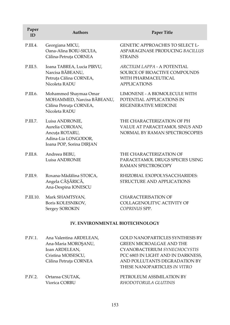| Paper<br>ID | <b>Authors</b>                                                                                           | <b>Paper Title</b>                                                                                                                              |
|-------------|----------------------------------------------------------------------------------------------------------|-------------------------------------------------------------------------------------------------------------------------------------------------|
| P.III.4.    | Georgiana MICU,<br>Oana-Alina BOIU-SICUIA,<br>Călina-Petruța CORNEA                                      | <b>GENETIC APPROACHES TO SELECT L-</b><br>ASPARAGINASE PRODUCING BACILLUS<br><b>STRAINS</b>                                                     |
| P.III.5.    | Ioana TABREA, Lucia PIRVU,<br>Narcisa BĂBEANU,<br>Petruța Călina CORNEA,<br>Nicoleta RADU                | ARCTIUM LAPPA - A POTENTIAL<br>SOURCE OF BIOACTIVE COMPOUNDS<br>WITH PHARMACEUTICAL<br><b>APPLICATIONS</b>                                      |
| P.III.6.    | Mohammed Shaymaa Omar<br>MOHAMMED, Narcisa BĂBEANU,<br>Călina Petruța CORNEA,<br>Nicoleta RADU           | LIMONENE - A BIOMOLECULE WITH<br>POTENTIAL APPLICATIONS IN<br>REGENERATIVE MEDICINE                                                             |
| P.III.7.    | Luisa ANDRONIE,<br>Aurelia COROIAN,<br>Ancuța ROTARU,<br>Adina-Lia LONGODOR,<br>Ioana POP, Sorina DIRJAN | THE CHARACTERIZATION OF PH<br>VALUE AT PARACETAMOL SINUS AND<br>NORMAL BY RAMAN SPECTROSCOPIES                                                  |
| P.III.8.    | Andreea BEBU,<br>Luisa ANDRONIE                                                                          | THE CHARACTERIZATION OF<br>PARACETAMOL DRUGS SPECIES USING<br>RAMAN SPECTROSCOPY                                                                |
| P.III.9.    | Roxana-Mădălina STOICA,<br>Angela CĂȘĂRICĂ,<br>Ana-Despina IONESCU                                       | RHIZOBIAL EXOPOLYSACCHARIDES:<br>STRUCTURE AND APPLICATIONS                                                                                     |
| P.III.10.   | Mark SHAMTSYAN,<br>Boris KOLESNIKOV,<br>Sergey SOROKIN                                                   | <b>CHARACTERISATION OF</b><br>COLLAGENOLITYC ACTIVITY OF<br>COPRINUS SPP.                                                                       |
|             | <b>IV. ENVIRONMENTAL BIOTECHNOLOGY</b>                                                                   |                                                                                                                                                 |
| P.IV.1.     | Ana Valentina ARDELEAN,<br>Ana-Maria MOROȘANU,<br>Ioan ARDELEAN,<br>Cristina MOISESCU,                   | <b>GOLD NANOPARTICLES SYNTHESIS BY</b><br><b>GREEN MICROALGAE AND THE</b><br>CYANOBACTERIUM SYNECHOCYSTIS<br>PCC 6803 IN LIGHT AND IN DARKNESS, |

P.IV.2. Ortansa CSUTAK, Viorica CORBU

Călina Petruţa CORNEA

THESE NANOPARTICLES *IN VITRO* PETROLEUM ASSIMILATION BY *RHODOTORULA GLUTINIS*

AND POLLUTANTS DEGRADATION BY